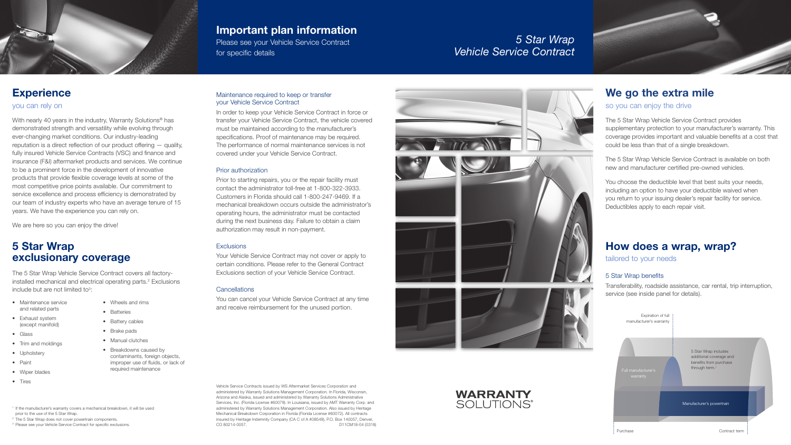# *5 Star Wrap Vehicle Service Contract*

# **Experience**

Maintenance required to keep or transfer

# your Vehicle Service Contract In order to keep your Vehicle Service Contract in force or transfer your Vehicle Service Contract, the vehicle covered must be maintained according to the manufacturer's specifications. Proof of maintenance may be required. The performance of normal maintenance services is not

covered under your Vehicle Service Contract.

### Prior authorization

Prior to starting repairs, you or the repair facility must contact the administrator toll-free at 1-800-322-3933. Customers in Florida should call 1-800-247-9469. If a mechanical breakdown occurs outside the administrator's operating hours, the administrator must be contacted during the next business day. Failure to obtain a claim authorization may result in non-payment.

### **Exclusions**

Your Vehicle Service Contract may not cover or apply to certain conditions. Please refer to the General Contract Exclusions section of your Vehicle Service Contract.

### **Cancellations**

You can cancel your Vehicle Service Contract at any time and receive reimbursement for the unused portion.

Vehicle Service Contracts issued by WS Aftermarket Services Corporation and administered by Warranty Solutions Management Corporation. In Florida, Wisconsin, Arizona and Alaska, issued and administered by Warranty Solutions Administrative Services, Inc. (Florida License #60079). In Louisiana, issued by AMT Warranty Corp. and administered by Warranty Solutions Management Corporation. Also issued by Heritage Mechanical Breakdown Corporation in Florida (Florida License #60072). All contracts insured by Heritage Indemnity Company (CA C of A #08549), P.O. Box 140057, Denver, CO 80214-0057. D11CM18-04 (0318)







The 5 Star Wrap Vehicle Service Contract covers all factoryinstalled mechanical and electrical operating parts.<sup>2</sup> Exclusions include but are not limited to<sup>3</sup>:



# Important plan information

Please see your Vehicle Service Contract for specific details

# We go the extra mile

# so you can enjoy the drive

The 5 Star Wrap Vehicle Service Contract provides supplementary protection to your manufacturer's warranty. This coverage provides important and valuable benefits at a cost that could be less than that of a single breakdown.

The 5 Star Wrap Vehicle Service Contract is available on both new and manufacturer certified pre-owned vehicles.

With nearly 40 years in the industry, Warranty Solutions<sup>®</sup> has demonstrated strength and versatility while evolving through ever-changing market conditions. Our industry-leading reputation is a direct reflection of our product offering — quality, fully insured Vehicle Service Contracts (VSC) and finance and insurance (F&I) aftermarket products and services. We continue to be a prominent force in the development of innovative products that provide flexible coverage levels at some of the most competitive price points available. Our commitment to service excellence and process efficiency is demonstrated by our team of industry experts who have an average tenure of 15 years. We have the experience you can rely on.

We are here so you can enjoy the drive!

You choose the deductible level that best suits your needs, including an option to have your deductible waived when you return to your issuing dealer's repair facility for service. Deductibles apply to each repair visit.

# How does a wrap, wrap?

tailored to your needs

### 5 Star Wrap benefits

Transferability, roadside assistance, car rental, trip interruption, service (see inside panel for details).



# 5 Star Wrap exclusionary coverage

- Maintenance service and related parts
- Exhaust system (except manifold)
- Glass
- Trim and moldings
- Upholstery
- Paint
- Wiper blades
- Tires
- Wheels and rims
- Batteries
- Battery cables
- Brake pads
- Manual clutches
- Breakdowns caused by contaminants, foreign objects, improper use of fluids, or lack of required maintenance

<sup>1</sup> If the manufacturer's warranty covers a mechanical breakdown, it will be used prior to the use of the 5 Star Wrap. <sup>2</sup> The 5 Star Wrap does not cover powertrain components.

<sup>3</sup> Please see your Vehicle Service Contract for specific exclusions.

# you can rely on